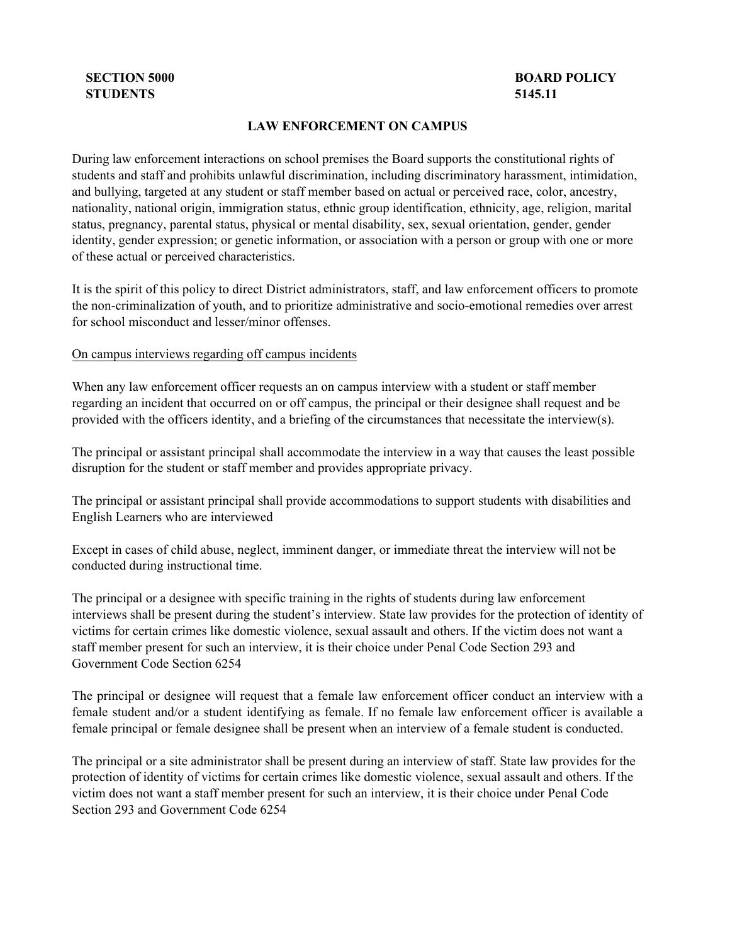## **STUDENTS 5145.11**

# **SECTION 5000** BOARD POLICY

#### **LAW ENFORCEMENT ON CAMPUS**

During law enforcement interactions on school premises the Board supports the constitutional rights of students and staff and prohibits unlawful discrimination, including discriminatory harassment, intimidation, and bullying, targeted at any student or staff member based on actual or perceived race, color, ancestry, nationality, national origin, immigration status, ethnic group identification, ethnicity, age, religion, marital status, pregnancy, parental status, physical or mental disability, sex, sexual orientation, gender, gender identity, gender expression; or genetic information, or association with a person or group with one or more of these actual or perceived characteristics.

It is the spirit of this policy to direct District administrators, staff, and law enforcement officers to promote the non-criminalization of youth, and to prioritize administrative and socio-emotional remedies over arrest for school misconduct and lesser/minor offenses.

#### On campus interviews regarding off campus incidents

When any law enforcement officer requests an on campus interview with a student or staff member regarding an incident that occurred on or off campus, the principal or their designee shall request and be provided with the officers identity, and a briefing of the circumstances that necessitate the interview(s).

The principal or assistant principal shall accommodate the interview in a way that causes the least possible disruption for the student or staff member and provides appropriate privacy.

The principal or assistant principal shall provide accommodations to support students with disabilities and English Learners who are interviewed

Except in cases of child abuse, neglect, imminent danger, or immediate threat the interview will not be conducted during instructional time.

The principal or a designee with specific training in the rights of students during law enforcement interviews shall be present during the student's interview. State law provides for the protection of identity of victims for certain crimes like domestic violence, sexual assault and others. If the victim does not want a staff member present for such an interview, it is their choice under Penal Code Section 293 and Government Code Section 6254

The principal or designee will request that a female law enforcement officer conduct an interview with a female student and/or a student identifying as female. If no female law enforcement officer is available a female principal or female designee shall be present when an interview of a female student is conducted.

The principal or a site administrator shall be present during an interview of staff. State law provides for the protection of identity of victims for certain crimes like domestic violence, sexual assault and others. If the victim does not want a staff member present for such an interview, it is their choice under Penal Code Section 293 and Government Code 6254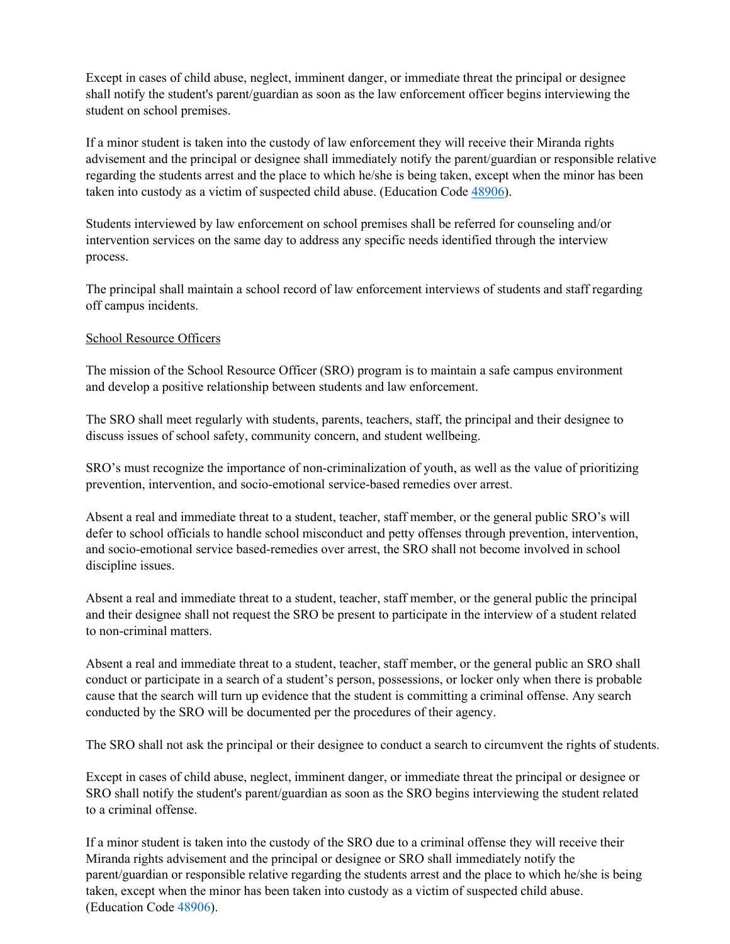Except in cases of child abuse, neglect, imminent danger, or immediate threat the principal or designee shall notify the student's parent/guardian as soon as the law enforcement officer begins interviewing the student on school premises.

If a minor student is taken into the custody of law enforcement they will receive their Miranda rights advisement and the principal or designee shall immediately notify the parent/guardian or responsible relative regarding the students arrest and the place to which he/she is being taken, except when the minor has been taken into custody as a victim of suspected child abuse. (Education Code [48906\)](http://gamutonline.net/displayPolicy/132231/5).

Students interviewed by law enforcement on school premises shall be referred for counseling and/or intervention services on the same day to address any specific needs identified through the interview process.

The principal shall maintain a school record of law enforcement interviews of students and staff regarding off campus incidents.

## School Resource Officers

The mission of the School Resource Officer (SRO) program is to maintain a safe campus environment and develop a positive relationship between students and law enforcement.

The SRO shall meet regularly with students, parents, teachers, staff, the principal and their designee to discuss issues of school safety, community concern, and student wellbeing.

SRO's must recognize the importance of non-criminalization of youth, as well as the value of prioritizing prevention, intervention, and socio-emotional service-based remedies over arrest.

Absent a real and immediate threat to a student, teacher, staff member, or the general public SRO's will defer to school officials to handle school misconduct and petty offenses through prevention, intervention, and socio-emotional service based-remedies over arrest, the SRO shall not become involved in school discipline issues.

Absent a real and immediate threat to a student, teacher, staff member, or the general public the principal and their designee shall not request the SRO be present to participate in the interview of a student related to non-criminal matters.

Absent a real and immediate threat to a student, teacher, staff member, or the general public an SRO shall conduct or participate in a search of a student's person, possessions, or locker only when there is probable cause that the search will turn up evidence that the student is committing a criminal offense. Any search conducted by the SRO will be documented per the procedures of their agency.

The SRO shall not ask the principal or their designee to conduct a search to circumvent the rights of students.

Except in cases of child abuse, neglect, imminent danger, or immediate threat the principal or designee or SRO shall notify the student's parent/guardian as soon as the SRO begins interviewing the student related to a criminal offense.

If a minor student is taken into the custody of the SRO due to a criminal offense they will receive their Miranda rights advisement and the principal or designee or SRO shall immediately notify the parent/guardian or responsible relative regarding the students arrest and the place to which he/she is being taken, except when the minor has been taken into custody as a victim of suspected child abuse. (Education Code [48906\)](http://gamutonline.net/displayPolicy/132231/5).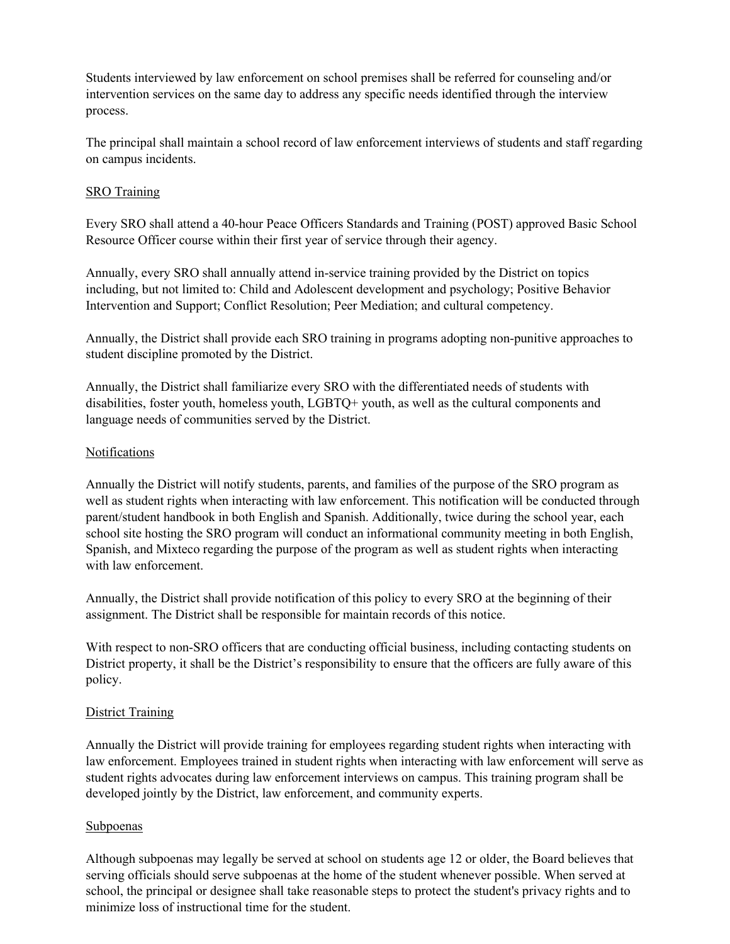Students interviewed by law enforcement on school premises shall be referred for counseling and/or intervention services on the same day to address any specific needs identified through the interview process.

The principal shall maintain a school record of law enforcement interviews of students and staff regarding on campus incidents.

### SRO Training

Every SRO shall attend a 40-hour Peace Officers Standards and Training (POST) approved Basic School Resource Officer course within their first year of service through their agency.

Annually, every SRO shall annually attend in-service training provided by the District on topics including, but not limited to: Child and Adolescent development and psychology; Positive Behavior Intervention and Support; Conflict Resolution; Peer Mediation; and cultural competency.

Annually, the District shall provide each SRO training in programs adopting non-punitive approaches to student discipline promoted by the District.

Annually, the District shall familiarize every SRO with the differentiated needs of students with disabilities, foster youth, homeless youth, LGBTQ+ youth, as well as the cultural components and language needs of communities served by the District.

## Notifications

Annually the District will notify students, parents, and families of the purpose of the SRO program as well as student rights when interacting with law enforcement. This notification will be conducted through parent/student handbook in both English and Spanish. Additionally, twice during the school year, each school site hosting the SRO program will conduct an informational community meeting in both English, Spanish, and Mixteco regarding the purpose of the program as well as student rights when interacting with law enforcement.

Annually, the District shall provide notification of this policy to every SRO at the beginning of their assignment. The District shall be responsible for maintain records of this notice.

With respect to non-SRO officers that are conducting official business, including contacting students on District property, it shall be the District's responsibility to ensure that the officers are fully aware of this policy.

#### District Training

Annually the District will provide training for employees regarding student rights when interacting with law enforcement. Employees trained in student rights when interacting with law enforcement will serve as student rights advocates during law enforcement interviews on campus. This training program shall be developed jointly by the District, law enforcement, and community experts.

## Subpoenas

Although subpoenas may legally be served at school on students age 12 or older, the Board believes that serving officials should serve subpoenas at the home of the student whenever possible. When served at school, the principal or designee shall take reasonable steps to protect the student's privacy rights and to minimize loss of instructional time for the student.